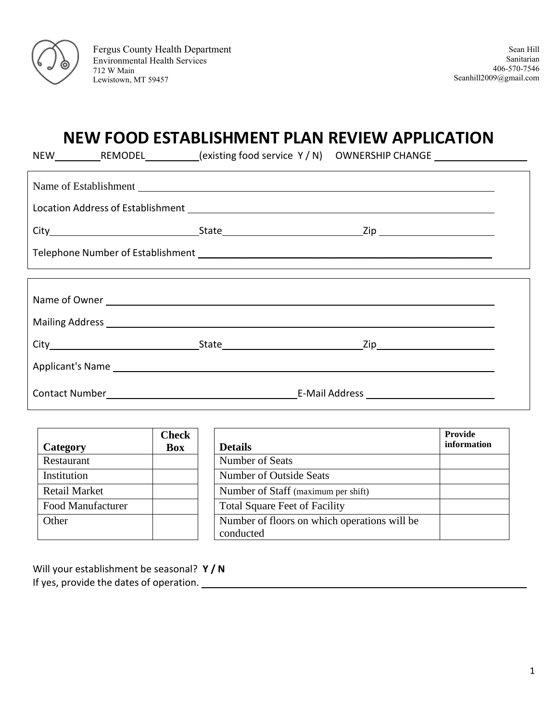

Fergus County Health Department Environmental Health Services 712 W Main Lewistown, MT 59457

# **NEW FOOD ESTABLISHMENT PLAN REVIEW APPLICATION**

NEW REMODEL (existing food service Y / N) OWNERSHIP CHANGE

|  |  | Mailing Address <b>Mailing Address Mailing Address Mailing Address Mailing Address</b>                          |  |  |  |  |
|--|--|-----------------------------------------------------------------------------------------------------------------|--|--|--|--|
|  |  |                                                                                                                 |  |  |  |  |
|  |  |                                                                                                                 |  |  |  |  |
|  |  | Contact Number Law Contact Number Law Contact Number Law Contact Number Law Contact Number Law Contact Number L |  |  |  |  |

|                      | <b>Check</b> |                                              | Provide     |
|----------------------|--------------|----------------------------------------------|-------------|
| Category             | Box          | <b>Details</b>                               | information |
| Restaurant           |              | Number of Seats                              |             |
| Institution          |              | <b>Number of Outside Seats</b>               |             |
| <b>Retail Market</b> |              | Number of Staff (maximum per shift)          |             |
| Food Manufacturer    |              | <b>Total Square Feet of Facility</b>         |             |
| Other                |              | Number of floors on which operations will be |             |
|                      |              | conducted                                    |             |

Will your establishment be seasonal? **Y / N** If yes, provide the dates of operation.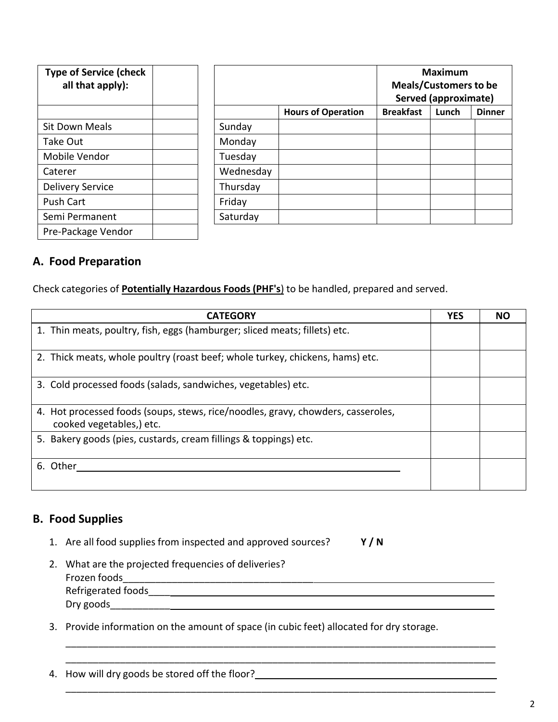| <b>Type of Service (check</b><br>all that apply): |           |                           | <b>Maximum</b><br><b>Meals/Customers to be</b><br><b>Served (approximate)</b> |       |               |
|---------------------------------------------------|-----------|---------------------------|-------------------------------------------------------------------------------|-------|---------------|
|                                                   |           | <b>Hours of Operation</b> | <b>Breakfast</b>                                                              | Lunch | <b>Dinner</b> |
| Sit Down Meals                                    | Sunday    |                           |                                                                               |       |               |
| Take Out                                          | Monday    |                           |                                                                               |       |               |
| Mobile Vendor                                     | Tuesday   |                           |                                                                               |       |               |
| Caterer                                           | Wednesday |                           |                                                                               |       |               |
| <b>Delivery Service</b>                           | Thursday  |                           |                                                                               |       |               |
| <b>Push Cart</b>                                  | Friday    |                           |                                                                               |       |               |
| Semi Permanent                                    | Saturday  |                           |                                                                               |       |               |
| Pre-Package Vendor                                |           |                           |                                                                               |       |               |

#### **A. Food Preparation**

Check categories of **Potentially Hazardous Foods (PHF's**) to be handled, prepared and served.

| <b>CATEGORY</b>                                                                                              | <b>YES</b> | NΟ |
|--------------------------------------------------------------------------------------------------------------|------------|----|
| 1. Thin meats, poultry, fish, eggs (hamburger; sliced meats; fillets) etc.                                   |            |    |
| 2. Thick meats, whole poultry (roast beef; whole turkey, chickens, hams) etc.                                |            |    |
| 3. Cold processed foods (salads, sandwiches, vegetables) etc.                                                |            |    |
| 4. Hot processed foods (soups, stews, rice/noodles, gravy, chowders, casseroles,<br>cooked vegetables,) etc. |            |    |
| 5. Bakery goods (pies, custards, cream fillings & toppings) etc.                                             |            |    |
| 6. Other                                                                                                     |            |    |

#### **B. Food Supplies**

1. Are all food supplies from inspected and approved sources? **Y / N**

| 2. What are the projected frequencies of deliveries? |
|------------------------------------------------------|
| Frozen foods                                         |
| Refrigerated foods                                   |
| Dry goods                                            |

\_\_\_\_\_\_\_\_\_\_\_\_\_\_\_\_\_\_\_\_\_\_\_\_\_\_\_\_\_\_\_\_\_\_\_\_\_\_\_\_\_\_\_\_\_\_\_\_\_\_\_\_\_\_\_\_\_\_\_\_\_\_\_\_\_\_\_\_\_\_\_\_\_\_\_\_\_\_\_ \_\_\_\_\_\_\_\_\_\_\_\_\_\_\_\_\_\_\_\_\_\_\_\_\_\_\_\_\_\_\_\_\_\_\_\_\_\_\_\_\_\_\_\_\_\_\_\_\_\_\_\_\_\_\_\_\_\_\_\_\_\_\_\_\_\_\_\_\_\_\_\_\_\_\_\_\_\_\_

\_\_\_\_\_\_\_\_\_\_\_\_\_\_\_\_\_\_\_\_\_\_\_\_\_\_\_\_\_\_\_\_\_\_\_\_\_\_\_\_\_\_\_\_\_\_\_\_\_\_\_\_\_\_\_\_\_\_\_\_\_\_\_\_\_\_\_\_\_\_\_\_\_\_\_\_\_\_\_

3. Provide information on the amount of space (in cubic feet) allocated for dry storage.

4. How will dry goods be stored off the floor? \_\_\_\_\_\_\_\_\_\_\_\_\_\_\_\_\_\_\_\_\_\_\_\_\_\_\_\_\_\_\_\_\_\_\_\_\_\_\_\_\_\_\_\_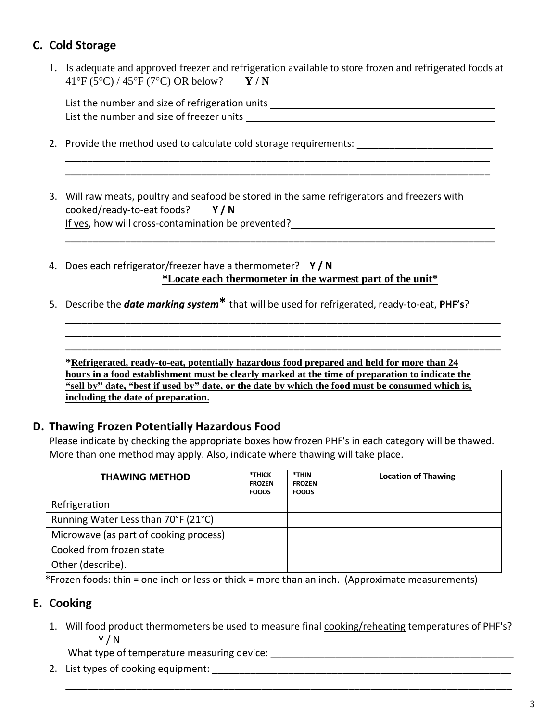### **C. Cold Storage**

1. Is adequate and approved freezer and refrigeration available to store frozen and refrigerated foods at 41°F (5°C) / 45F (7C) OR below? **Y / N**

List the number and size of refrigeration units \_\_\_\_\_\_\_\_\_\_\_\_\_\_\_\_\_\_\_\_\_\_\_\_\_\_\_\_\_\_\_\_ List the number and size of freezer units

\_\_\_\_\_\_\_\_\_\_\_\_\_\_\_\_\_\_\_\_\_\_\_\_\_\_\_\_\_\_\_\_\_\_\_\_\_\_\_\_\_\_\_\_\_\_\_\_\_\_\_\_\_\_\_\_\_\_\_\_\_\_\_\_\_\_\_\_\_\_\_\_\_\_\_\_\_\_ \_\_\_\_\_\_\_\_\_\_\_\_\_\_\_\_\_\_\_\_\_\_\_\_\_\_\_\_\_\_\_\_\_\_\_\_\_\_\_\_\_\_\_\_\_\_\_\_\_\_\_\_\_\_\_\_\_\_\_\_\_\_\_\_\_\_\_\_\_\_\_\_\_\_\_\_\_\_

\_\_\_\_\_\_\_\_\_\_\_\_\_\_\_\_\_\_\_\_\_\_\_\_\_\_\_\_\_\_\_\_\_\_\_\_\_\_\_\_\_\_\_\_\_\_\_\_\_\_\_\_\_\_\_\_\_\_\_\_\_\_\_\_\_\_\_\_\_\_\_\_\_\_\_\_\_\_\_

\_\_\_\_\_\_\_\_\_\_\_\_\_\_\_\_\_\_\_\_\_\_\_\_\_\_\_\_\_\_\_\_\_\_\_\_\_\_\_\_\_\_\_\_\_\_\_\_\_\_\_\_\_\_\_\_\_\_\_\_\_\_\_\_\_\_\_\_\_\_\_\_\_\_\_\_\_\_\_\_ \_\_\_\_\_\_\_\_\_\_\_\_\_\_\_\_\_\_\_\_\_\_\_\_\_\_\_\_\_\_\_\_\_\_\_\_\_\_\_\_\_\_\_\_\_\_\_\_\_\_\_\_\_\_\_\_\_\_\_\_\_\_\_\_\_\_\_\_\_\_\_\_\_\_\_\_\_\_\_\_ \_\_\_\_\_\_\_\_\_\_\_\_\_\_\_\_\_\_\_\_\_\_\_\_\_\_\_\_\_\_\_\_\_\_\_\_\_\_\_\_\_\_\_\_\_\_\_\_\_\_\_\_\_\_\_\_\_\_\_\_\_\_\_\_\_\_\_\_\_\_\_\_\_\_\_\_\_\_\_\_

- 2. Provide the method used to calculate cold storage requirements: \_\_\_\_\_\_\_\_\_\_\_\_\_\_
- 3. Will raw meats, poultry and seafood be stored in the same refrigerators and freezers with cooked/ready-to-eat foods? **Y / N** If yes, how will cross-contamination be prevented?
- 4. Does each refrigerator/freezer have a thermometer? **Y / N \*Locate each thermometer in the warmest part of the unit\***
- 5. Describe the *date marking system***\*** that will be used for refrigerated, ready-to-eat, **PHF's**?

**\*Refrigerated, ready-to-eat, potentially hazardous food prepared and held for more than 24 hours in a food establishment must be clearly marked at the time of preparation to indicate the "sell by" date, "best if used by" date, or the date by which the food must be consumed which is, including the date of preparation.**

### **D. Thawing Frozen Potentially Hazardous Food**

Please indicate by checking the appropriate boxes how frozen PHF's in each category will be thawed. More than one method may apply. Also, indicate where thawing will take place.

| <b>THAWING METHOD</b>                  | *THICK<br><b>FROZEN</b><br><b>FOODS</b> | *THIN<br><b>FROZEN</b><br><b>FOODS</b> | <b>Location of Thawing</b> |
|----------------------------------------|-----------------------------------------|----------------------------------------|----------------------------|
| Refrigeration                          |                                         |                                        |                            |
| Running Water Less than 70°F (21°C)    |                                         |                                        |                            |
| Microwave (as part of cooking process) |                                         |                                        |                            |
| Cooked from frozen state               |                                         |                                        |                            |
| Other (describe).                      |                                         |                                        |                            |

\*Frozen foods: thin = one inch or less or thick = more than an inch. (Approximate measurements)

### **E. Cooking**

1. Will food product thermometers be used to measure final cooking/reheating temperatures of PHF's? Y / N

\_\_\_\_\_\_\_\_\_\_\_\_\_\_\_\_\_\_\_\_\_\_\_\_\_\_\_\_\_\_\_\_\_\_\_\_\_\_\_\_\_\_\_\_\_\_\_\_\_\_\_\_\_\_\_\_\_\_\_\_\_\_\_\_\_\_\_\_\_\_\_\_\_\_\_\_\_\_\_\_\_\_

What type of temperature measuring device: \_\_\_\_\_\_\_\_\_\_\_\_\_\_\_\_\_\_\_\_\_\_\_\_\_\_\_\_\_\_\_\_\_\_\_\_\_\_\_\_\_\_\_\_\_

2. List types of cooking equipment:  $\blacksquare$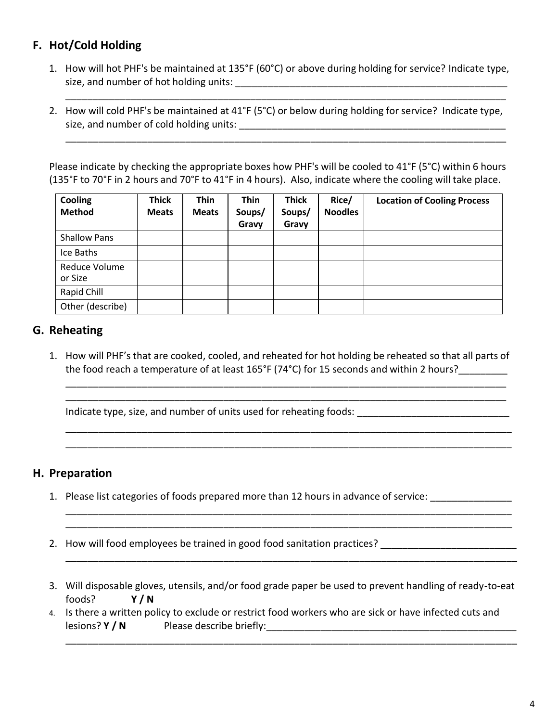### **F. Hot/Cold Holding**

1. How will hot PHF's be maintained at 135°F (60°C) or above during holding for service? Indicate type, size, and number of hot holding units: \_\_\_\_\_\_\_\_\_\_\_\_\_\_\_\_\_\_\_\_\_\_\_\_\_\_\_\_\_\_\_\_\_\_\_\_\_\_\_\_\_\_\_\_\_\_\_\_\_\_

\_\_\_\_\_\_\_\_\_\_\_\_\_\_\_\_\_\_\_\_\_\_\_\_\_\_\_\_\_\_\_\_\_\_\_\_\_\_\_\_\_\_\_\_\_\_\_\_\_\_\_\_\_\_\_\_\_\_\_\_\_\_\_\_\_\_\_\_\_\_\_\_\_\_\_\_\_\_\_\_\_

\_\_\_\_\_\_\_\_\_\_\_\_\_\_\_\_\_\_\_\_\_\_\_\_\_\_\_\_\_\_\_\_\_\_\_\_\_\_\_\_\_\_\_\_\_\_\_\_\_\_\_\_\_\_\_\_\_\_\_\_\_\_\_\_\_\_\_\_\_\_\_\_\_\_\_\_\_\_\_\_\_

2. How will cold PHF's be maintained at 41°F (5°C) or below during holding for service? Indicate type, size, and number of cold holding units: \_\_\_\_\_\_\_\_\_\_\_\_\_\_\_\_\_\_\_\_\_\_\_\_\_\_\_\_\_\_\_\_\_\_\_\_\_\_\_\_\_\_\_\_\_\_\_\_\_

Please indicate by checking the appropriate boxes how PHF's will be cooled to 41°F (5°C) within 6 hours (135°F to 70°F in 2 hours and 70°F to 41°F in 4 hours). Also, indicate where the cooling will take place.

| Cooling<br><b>Method</b> | <b>Thick</b><br><b>Meats</b> | <b>Thin</b><br><b>Meats</b> | <b>Thin</b><br>Soups/<br>Gravy | <b>Thick</b><br>Soups/<br>Gravy | Rice/<br><b>Noodles</b> | <b>Location of Cooling Process</b> |
|--------------------------|------------------------------|-----------------------------|--------------------------------|---------------------------------|-------------------------|------------------------------------|
| <b>Shallow Pans</b>      |                              |                             |                                |                                 |                         |                                    |
| Ice Baths                |                              |                             |                                |                                 |                         |                                    |
| Reduce Volume<br>or Size |                              |                             |                                |                                 |                         |                                    |
| Rapid Chill              |                              |                             |                                |                                 |                         |                                    |
| Other (describe)         |                              |                             |                                |                                 |                         |                                    |

### **G. Reheating**

1. How will PHF's that are cooked, cooled, and reheated for hot holding be reheated so that all parts of the food reach a temperature of at least 165°F (74°C) for 15 seconds and within 2 hours?

\_\_\_\_\_\_\_\_\_\_\_\_\_\_\_\_\_\_\_\_\_\_\_\_\_\_\_\_\_\_\_\_\_\_\_\_\_\_\_\_\_\_\_\_\_\_\_\_\_\_\_\_\_\_\_\_\_\_\_\_\_\_\_\_\_\_\_\_\_\_\_\_\_\_\_\_\_\_\_\_\_ \_\_\_\_\_\_\_\_\_\_\_\_\_\_\_\_\_\_\_\_\_\_\_\_\_\_\_\_\_\_\_\_\_\_\_\_\_\_\_\_\_\_\_\_\_\_\_\_\_\_\_\_\_\_\_\_\_\_\_\_\_\_\_\_\_\_\_\_\_\_\_\_\_\_\_\_\_\_\_\_\_

\_\_\_\_\_\_\_\_\_\_\_\_\_\_\_\_\_\_\_\_\_\_\_\_\_\_\_\_\_\_\_\_\_\_\_\_\_\_\_\_\_\_\_\_\_\_\_\_\_\_\_\_\_\_\_\_\_\_\_\_\_\_\_\_\_\_\_\_\_\_\_\_\_\_\_\_\_\_\_\_\_\_ \_\_\_\_\_\_\_\_\_\_\_\_\_\_\_\_\_\_\_\_\_\_\_\_\_\_\_\_\_\_\_\_\_\_\_\_\_\_\_\_\_\_\_\_\_\_\_\_\_\_\_\_\_\_\_\_\_\_\_\_\_\_\_\_\_\_\_\_\_\_\_\_\_\_\_\_\_\_\_\_\_\_

\_\_\_\_\_\_\_\_\_\_\_\_\_\_\_\_\_\_\_\_\_\_\_\_\_\_\_\_\_\_\_\_\_\_\_\_\_\_\_\_\_\_\_\_\_\_\_\_\_\_\_\_\_\_\_\_\_\_\_\_\_\_\_\_\_\_\_\_\_\_\_\_\_\_\_\_\_\_\_\_\_\_ \_\_\_\_\_\_\_\_\_\_\_\_\_\_\_\_\_\_\_\_\_\_\_\_\_\_\_\_\_\_\_\_\_\_\_\_\_\_\_\_\_\_\_\_\_\_\_\_\_\_\_\_\_\_\_\_\_\_\_\_\_\_\_\_\_\_\_\_\_\_\_\_\_\_\_\_\_\_\_\_\_\_

\_\_\_\_\_\_\_\_\_\_\_\_\_\_\_\_\_\_\_\_\_\_\_\_\_\_\_\_\_\_\_\_\_\_\_\_\_\_\_\_\_\_\_\_\_\_\_\_\_\_\_\_\_\_\_\_\_\_\_\_\_\_\_\_\_\_\_\_\_\_\_\_\_\_\_\_\_\_\_\_\_\_\_

\_\_\_\_\_\_\_\_\_\_\_\_\_\_\_\_\_\_\_\_\_\_\_\_\_\_\_\_\_\_\_\_\_\_\_\_\_\_\_\_\_\_\_\_\_\_\_\_\_\_\_\_\_\_\_\_\_\_\_\_\_\_\_\_\_\_\_\_\_\_\_\_\_\_\_\_\_\_\_\_\_\_\_

Indicate type, size, and number of units used for reheating foods:

#### **H. Preparation**

- 1. Please list categories of foods prepared more than 12 hours in advance of service:
- 2. How will food employees be trained in good food sanitation practices?
- 3. Will disposable gloves, utensils, and/or food grade paper be used to prevent handling of ready-to-eat foods? **Y / N**
- 4. Is there a written policy to exclude or restrict food workers who are sick or have infected cuts and lesions? **Y / N** Please describe briefly: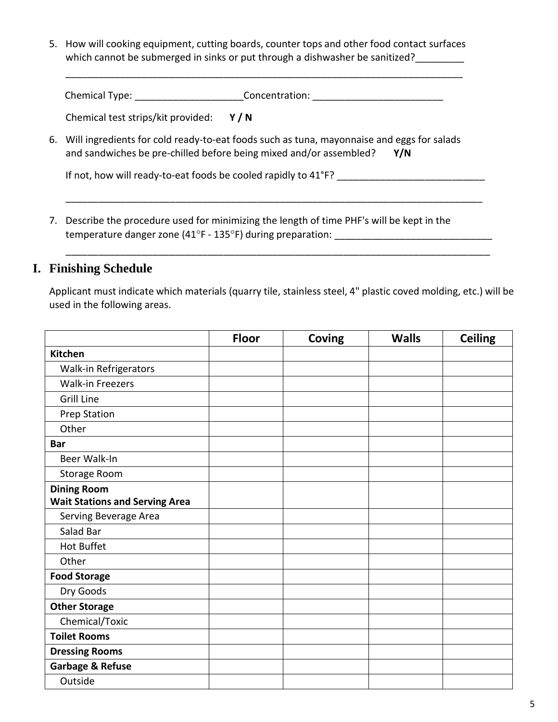5. How will cooking equipment, cutting boards, counter tops and other food contact surfaces which cannot be submerged in sinks or put through a dishwasher be sanitized?

\_\_\_\_\_\_\_\_\_\_\_\_\_\_\_\_\_\_\_\_\_\_\_\_\_\_\_\_\_\_\_\_\_\_\_\_\_\_\_\_\_\_\_\_\_\_\_\_\_\_\_\_\_\_\_\_\_\_\_\_\_\_\_\_\_\_\_\_\_\_\_\_\_

Chemical Type: The Concentration:

Chemical test strips/kit provided: **Y / N**

6. Will ingredients for cold ready-to-eat foods such as tuna, mayonnaise and eggs for salads and sandwiches be pre-chilled before being mixed and/or assembled? **Y/N**

\_\_\_\_\_\_\_\_\_\_\_\_\_\_\_\_\_\_\_\_\_\_\_\_\_\_\_\_\_\_\_\_\_\_\_\_\_\_\_\_\_\_\_\_\_\_\_\_\_\_\_\_\_\_\_\_\_\_\_\_\_\_\_\_\_\_\_\_\_\_\_\_\_\_\_\_

If not, how will ready-to-eat foods be cooled rapidly to 41°F? \_\_\_\_\_\_\_\_\_\_\_\_\_\_\_\_\_\_\_\_\_\_\_\_\_\_\_

7. Describe the procedure used for minimizing the length of time PHF's will be kept in the temperature danger zone (41°F - 135°F) during preparation:  $\frac{1}{2}$ 

#### **I. Finishing Schedule**

Applicant must indicate which materials (quarry tile, stainless steel, 4" plastic coved molding, etc.) will be used in the following areas.

\_\_\_\_\_\_\_\_\_\_\_\_\_\_\_\_\_\_\_\_\_\_\_\_\_\_\_\_\_\_\_\_\_\_\_\_\_\_\_\_\_\_\_\_\_\_\_\_\_\_\_\_\_\_\_\_\_\_\_\_\_\_\_\_\_\_\_\_\_\_\_\_\_\_\_\_\_\_

|                                       | <b>Floor</b> | Coving | <b>Walls</b> | <b>Ceiling</b> |
|---------------------------------------|--------------|--------|--------------|----------------|
| <b>Kitchen</b>                        |              |        |              |                |
| Walk-in Refrigerators                 |              |        |              |                |
| <b>Walk-in Freezers</b>               |              |        |              |                |
| <b>Grill Line</b>                     |              |        |              |                |
| <b>Prep Station</b>                   |              |        |              |                |
| Other                                 |              |        |              |                |
| <b>Bar</b>                            |              |        |              |                |
| Beer Walk-In                          |              |        |              |                |
| Storage Room                          |              |        |              |                |
| <b>Dining Room</b>                    |              |        |              |                |
| <b>Wait Stations and Serving Area</b> |              |        |              |                |
| Serving Beverage Area                 |              |        |              |                |
| Salad Bar                             |              |        |              |                |
| <b>Hot Buffet</b>                     |              |        |              |                |
| Other                                 |              |        |              |                |
| <b>Food Storage</b>                   |              |        |              |                |
| Dry Goods                             |              |        |              |                |
| <b>Other Storage</b>                  |              |        |              |                |
| Chemical/Toxic                        |              |        |              |                |
| <b>Toilet Rooms</b>                   |              |        |              |                |
| <b>Dressing Rooms</b>                 |              |        |              |                |
| Garbage & Refuse                      |              |        |              |                |
| Outside                               |              |        |              |                |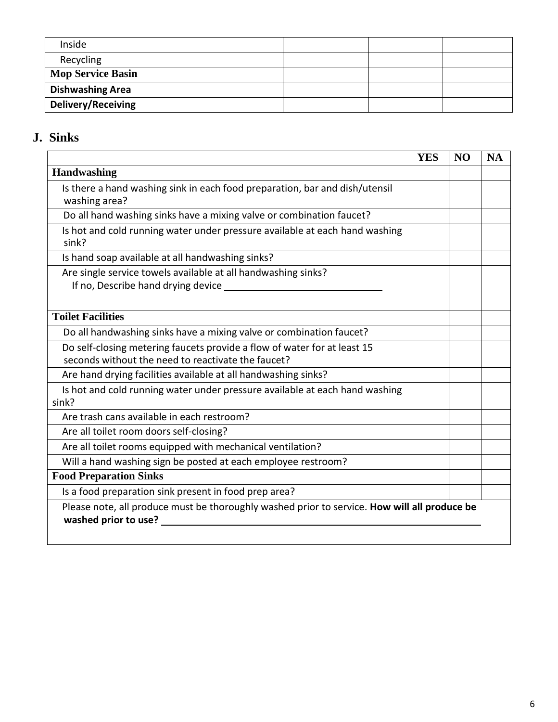| Inside                    |  |  |
|---------------------------|--|--|
| Recycling                 |  |  |
| <b>Mop Service Basin</b>  |  |  |
| <b>Dishwashing Area</b>   |  |  |
| <b>Delivery/Receiving</b> |  |  |

## **J. Sinks**

|                                                                                                                                | <b>YES</b> | N <sub>O</sub> | <b>NA</b> |
|--------------------------------------------------------------------------------------------------------------------------------|------------|----------------|-----------|
| Handwashing                                                                                                                    |            |                |           |
| Is there a hand washing sink in each food preparation, bar and dish/utensil<br>washing area?                                   |            |                |           |
| Do all hand washing sinks have a mixing valve or combination faucet?                                                           |            |                |           |
| Is hot and cold running water under pressure available at each hand washing<br>sink?                                           |            |                |           |
| Is hand soap available at all handwashing sinks?                                                                               |            |                |           |
| Are single service towels available at all handwashing sinks?<br>If no, Describe hand drying device ______                     |            |                |           |
| <b>Toilet Facilities</b>                                                                                                       |            |                |           |
| Do all handwashing sinks have a mixing valve or combination faucet?                                                            |            |                |           |
| Do self-closing metering faucets provide a flow of water for at least 15<br>seconds without the need to reactivate the faucet? |            |                |           |
| Are hand drying facilities available at all handwashing sinks?                                                                 |            |                |           |
| Is hot and cold running water under pressure available at each hand washing<br>sink?                                           |            |                |           |
| Are trash cans available in each restroom?                                                                                     |            |                |           |
| Are all toilet room doors self-closing?                                                                                        |            |                |           |
| Are all toilet rooms equipped with mechanical ventilation?                                                                     |            |                |           |
| Will a hand washing sign be posted at each employee restroom?                                                                  |            |                |           |
| <b>Food Preparation Sinks</b>                                                                                                  |            |                |           |
| Is a food preparation sink present in food prep area?                                                                          |            |                |           |
| Please note, all produce must be thoroughly washed prior to service. How will all produce be<br>washed prior to use?           |            |                |           |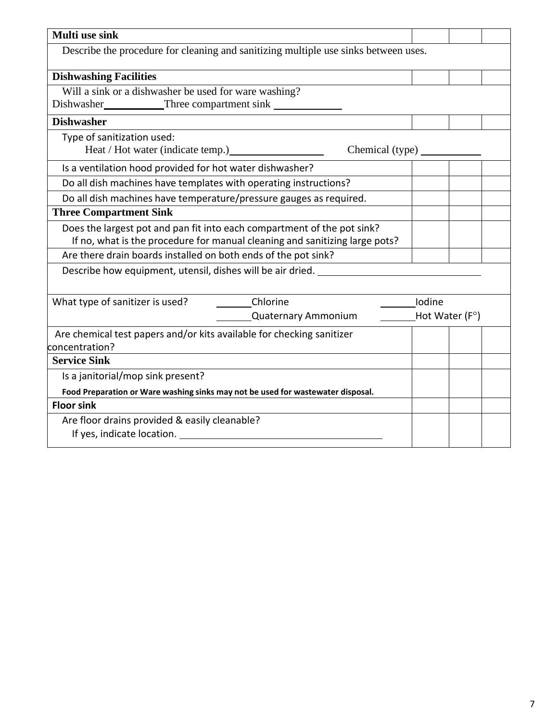| Multi use sink                                                                      |                                 |                         |  |
|-------------------------------------------------------------------------------------|---------------------------------|-------------------------|--|
| Describe the procedure for cleaning and sanitizing multiple use sinks between uses. |                                 |                         |  |
| <b>Dishwashing Facilities</b>                                                       |                                 |                         |  |
| Will a sink or a dishwasher be used for ware washing?                               |                                 |                         |  |
| Dishwasher___________Three compartment sink                                         |                                 |                         |  |
| <b>Dishwasher</b>                                                                   |                                 |                         |  |
| Type of sanitization used:                                                          |                                 |                         |  |
|                                                                                     | Chemical (type) $\qquad \qquad$ |                         |  |
| Is a ventilation hood provided for hot water dishwasher?                            |                                 |                         |  |
| Do all dish machines have templates with operating instructions?                    |                                 |                         |  |
| Do all dish machines have temperature/pressure gauges as required.                  |                                 |                         |  |
| <b>Three Compartment Sink</b>                                                       |                                 |                         |  |
| Does the largest pot and pan fit into each compartment of the pot sink?             |                                 |                         |  |
| If no, what is the procedure for manual cleaning and sanitizing large pots?         |                                 |                         |  |
| Are there drain boards installed on both ends of the pot sink?                      |                                 |                         |  |
| Describe how equipment, utensil, dishes will be air dried.                          |                                 |                         |  |
|                                                                                     |                                 |                         |  |
| What type of sanitizer is used?<br>Chlorine                                         |                                 | Iodine                  |  |
| <b>Quaternary Ammonium</b>                                                          |                                 | Hot Water $(F^{\circ})$ |  |
| Are chemical test papers and/or kits available for checking sanitizer               |                                 |                         |  |
| concentration?                                                                      |                                 |                         |  |
| <b>Service Sink</b>                                                                 |                                 |                         |  |
| Is a janitorial/mop sink present?                                                   |                                 |                         |  |
| Food Preparation or Ware washing sinks may not be used for wastewater disposal.     |                                 |                         |  |
| <b>Floor sink</b>                                                                   |                                 |                         |  |
| Are floor drains provided & easily cleanable?                                       |                                 |                         |  |
| If yes, indicate location.                                                          |                                 |                         |  |
|                                                                                     |                                 |                         |  |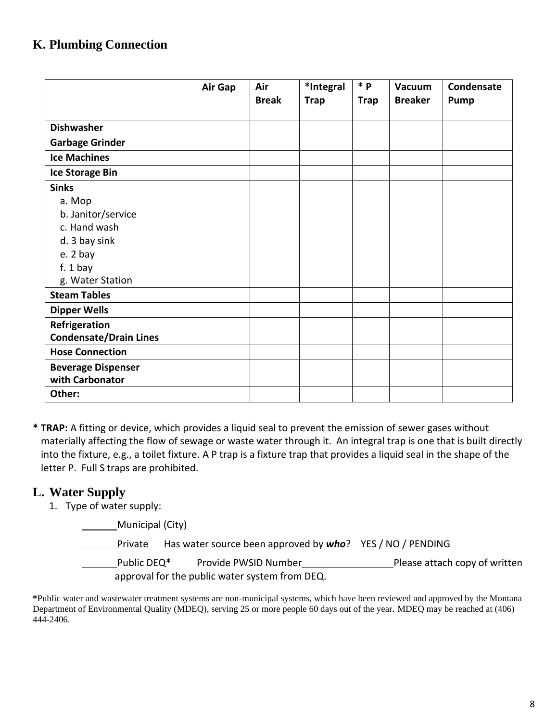## **K. Plumbing Connection**

|                               | Air Gap | Air          | *Integral   | $*$ $\mathsf{p}$ | <b>Vacuum</b>  | Condensate |
|-------------------------------|---------|--------------|-------------|------------------|----------------|------------|
|                               |         | <b>Break</b> | <b>Trap</b> | <b>Trap</b>      | <b>Breaker</b> | Pump       |
|                               |         |              |             |                  |                |            |
| <b>Dishwasher</b>             |         |              |             |                  |                |            |
| <b>Garbage Grinder</b>        |         |              |             |                  |                |            |
| <b>Ice Machines</b>           |         |              |             |                  |                |            |
| <b>Ice Storage Bin</b>        |         |              |             |                  |                |            |
| <b>Sinks</b>                  |         |              |             |                  |                |            |
| a. Mop                        |         |              |             |                  |                |            |
| b. Janitor/service            |         |              |             |                  |                |            |
| c. Hand wash                  |         |              |             |                  |                |            |
| d. 3 bay sink                 |         |              |             |                  |                |            |
| e. 2 bay                      |         |              |             |                  |                |            |
| $f. 1$ bay                    |         |              |             |                  |                |            |
| g. Water Station              |         |              |             |                  |                |            |
| <b>Steam Tables</b>           |         |              |             |                  |                |            |
| <b>Dipper Wells</b>           |         |              |             |                  |                |            |
| Refrigeration                 |         |              |             |                  |                |            |
| <b>Condensate/Drain Lines</b> |         |              |             |                  |                |            |
| <b>Hose Connection</b>        |         |              |             |                  |                |            |
| <b>Beverage Dispenser</b>     |         |              |             |                  |                |            |
| with Carbonator               |         |              |             |                  |                |            |
| Other:                        |         |              |             |                  |                |            |

**\* TRAP:** A fitting or device, which provides a liquid seal to prevent the emission of sewer gases without materially affecting the flow of sewage or waste water through it. An integral trap is one that is built directly into the fixture, e.g., a toilet fixture. A P trap is a fixture trap that provides a liquid seal in the shape of the letter P. Full S traps are prohibited.

### **L. Water Supply**

1. Type of water supply:

| Municipal (City) |                        |
|------------------|------------------------|
| Drivata          | Lloc wotor course hoop |

Private Has water source been approved by *who*? YES / NO / PENDING

Public DEQ<sup>\*</sup> Provide PWSID Number
Please attach copy of written approval for the public water system from DEQ.

**\***Public water and wastewater treatment systems are non-municipal systems, which have been reviewed and approved by the Montana Department of Environmental Quality (MDEQ), serving 25 or more people 60 days out of the year. MDEQ may be reached at (406) 444-2406.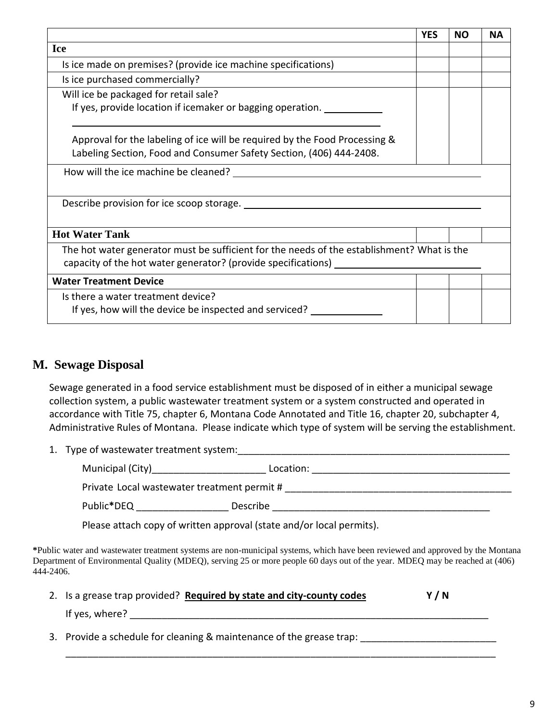|                                                                                            | <b>YES</b> | <b>NO</b> | <b>NA</b> |
|--------------------------------------------------------------------------------------------|------------|-----------|-----------|
| <b>Ice</b>                                                                                 |            |           |           |
| Is ice made on premises? (provide ice machine specifications)                              |            |           |           |
| Is ice purchased commercially?                                                             |            |           |           |
| Will ice be packaged for retail sale?                                                      |            |           |           |
| If yes, provide location if icemaker or bagging operation.                                 |            |           |           |
|                                                                                            |            |           |           |
| Approval for the labeling of ice will be required by the Food Processing &                 |            |           |           |
| Labeling Section, Food and Consumer Safety Section, (406) 444-2408.                        |            |           |           |
|                                                                                            |            |           |           |
|                                                                                            |            |           |           |
| Describe provision for ice scoop storage.                                                  |            |           |           |
|                                                                                            |            |           |           |
| <b>Hot Water Tank</b>                                                                      |            |           |           |
| The hot water generator must be sufficient for the needs of the establishment? What is the |            |           |           |
| capacity of the hot water generator? (provide specifications) ___________                  |            |           |           |
| <b>Water Treatment Device</b>                                                              |            |           |           |
| Is there a water treatment device?                                                         |            |           |           |
| If yes, how will the device be inspected and serviced?                                     |            |           |           |
|                                                                                            |            |           |           |

### **M. Sewage Disposal**

Sewage generated in a food service establishment must be disposed of in either a municipal sewage collection system, a public wastewater treatment system or a system constructed and operated in accordance with Title 75, chapter 6, Montana Code Annotated and Title 16, chapter 20, subchapter 4, Administrative Rules of Montana. Please indicate which type of system will be serving the establishment.

1. Type of wastewater treatment system:

| Municipal (City) | Location:                                   |  |
|------------------|---------------------------------------------|--|
|                  | Private Local wastewater treatment permit # |  |
| Public*DEQ       | Describe                                    |  |

Please attach copy of written approval (state and/or local permits).

**\***Public water and wastewater treatment systems are non-municipal systems, which have been reviewed and approved by the Montana Department of Environmental Quality (MDEQ), serving 25 or more people 60 days out of the year. MDEQ may be reached at (406) 444-2406.

\_\_\_\_\_\_\_\_\_\_\_\_\_\_\_\_\_\_\_\_\_\_\_\_\_\_\_\_\_\_\_\_\_\_\_\_\_\_\_\_\_\_\_\_\_\_\_\_\_\_\_\_\_\_\_\_\_\_\_\_\_\_\_\_\_\_\_\_\_\_\_\_\_\_\_\_\_\_\_

|                | 2. Is a grease trap provided? Required by state and city-county codes | Y/N |  |
|----------------|-----------------------------------------------------------------------|-----|--|
| If yes, where? |                                                                       |     |  |
|                |                                                                       |     |  |

3. Provide a schedule for cleaning & maintenance of the grease trap: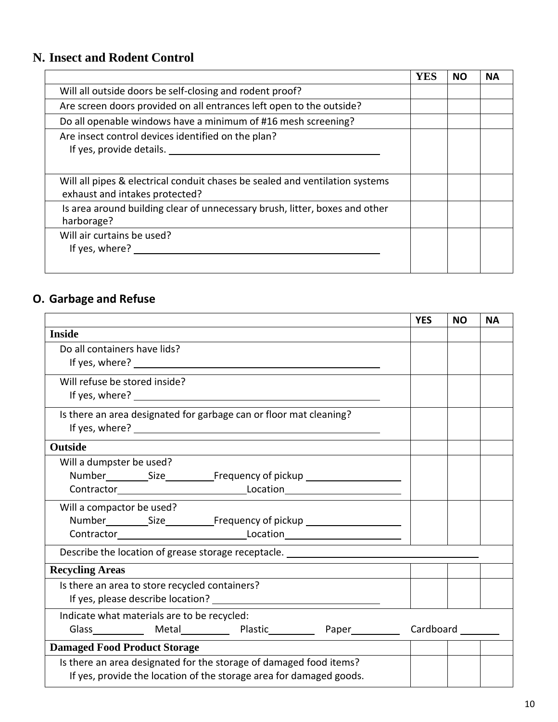## **N. Insect and Rodent Control**

|                                                                                                                | YES | <b>NO</b> | <b>NA</b> |
|----------------------------------------------------------------------------------------------------------------|-----|-----------|-----------|
| Will all outside doors be self-closing and rodent proof?                                                       |     |           |           |
| Are screen doors provided on all entrances left open to the outside?                                           |     |           |           |
| Do all openable windows have a minimum of #16 mesh screening?                                                  |     |           |           |
| Are insect control devices identified on the plan?<br>If yes, provide details.                                 |     |           |           |
| Will all pipes & electrical conduit chases be sealed and ventilation systems<br>exhaust and intakes protected? |     |           |           |
| Is area around building clear of unnecessary brush, litter, boxes and other<br>harborage?                      |     |           |           |
| Will air curtains be used?<br>If yes, where?                                                                   |     |           |           |

## **O. Garbage and Refuse**

|                                                                                  | <b>YES</b> | <b>NO</b> | <b>NA</b> |
|----------------------------------------------------------------------------------|------------|-----------|-----------|
| <b>Inside</b>                                                                    |            |           |           |
| Do all containers have lids?                                                     |            |           |           |
|                                                                                  |            |           |           |
| Will refuse be stored inside?                                                    |            |           |           |
|                                                                                  |            |           |           |
| Is there an area designated for garbage can or floor mat cleaning?               |            |           |           |
|                                                                                  |            |           |           |
| <b>Outside</b>                                                                   |            |           |           |
| Will a dumpster be used?                                                         |            |           |           |
|                                                                                  |            |           |           |
|                                                                                  |            |           |           |
| Will a compactor be used?                                                        |            |           |           |
| Number Size Frequency of pickup                                                  |            |           |           |
|                                                                                  |            |           |           |
| Describe the location of grease storage receptacle. ____________________________ |            |           |           |
| <b>Recycling Areas</b>                                                           |            |           |           |
| Is there an area to store recycled containers?                                   |            |           |           |
|                                                                                  |            |           |           |
| Indicate what materials are to be recycled:                                      |            |           |           |
| Glass Metal Plastic Paper Cardboard Metal Paper Cardboard                        |            |           |           |
| <b>Damaged Food Product Storage</b>                                              |            |           |           |
| Is there an area designated for the storage of damaged food items?               |            |           |           |
| If yes, provide the location of the storage area for damaged goods.              |            |           |           |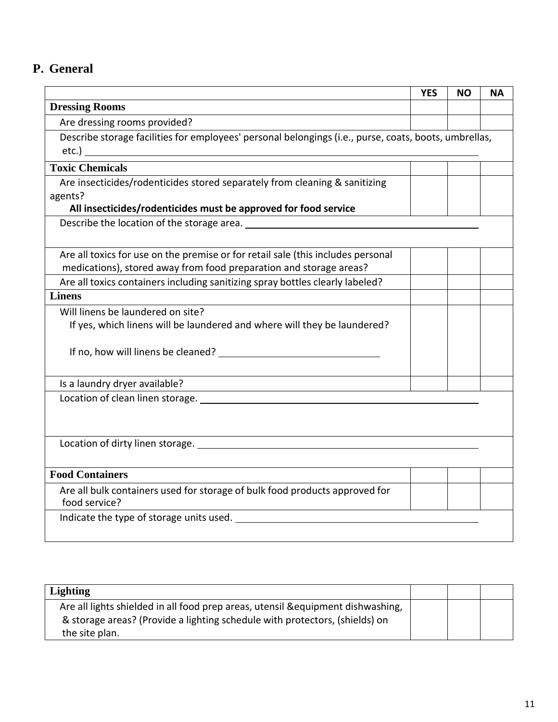## **P. General**

|                                                                                                       | <b>YES</b> | ΝO | ΝA |
|-------------------------------------------------------------------------------------------------------|------------|----|----|
| <b>Dressing Rooms</b>                                                                                 |            |    |    |
| Are dressing rooms provided?                                                                          |            |    |    |
| Describe storage facilities for employees' personal belongings (i.e., purse, coats, boots, umbrellas, |            |    |    |
|                                                                                                       |            |    |    |
| <b>Toxic Chemicals</b>                                                                                |            |    |    |
| Are insecticides/rodenticides stored separately from cleaning & sanitizing                            |            |    |    |
| agents?                                                                                               |            |    |    |
| All insecticides/rodenticides must be approved for food service                                       |            |    |    |
| Describe the location of the storage area.                                                            |            |    |    |
|                                                                                                       |            |    |    |
| Are all toxics for use on the premise or for retail sale (this includes personal                      |            |    |    |
| medications), stored away from food preparation and storage areas?                                    |            |    |    |
| Are all toxics containers including sanitizing spray bottles clearly labeled?                         |            |    |    |
| <b>Linens</b>                                                                                         |            |    |    |
| Will linens be laundered on site?                                                                     |            |    |    |
| If yes, which linens will be laundered and where will they be laundered?                              |            |    |    |
|                                                                                                       |            |    |    |
|                                                                                                       |            |    |    |
|                                                                                                       |            |    |    |
| Is a laundry dryer available?                                                                         |            |    |    |
|                                                                                                       |            |    |    |
|                                                                                                       |            |    |    |
|                                                                                                       |            |    |    |
| Location of dirty linen storage.                                                                      |            |    |    |
|                                                                                                       |            |    |    |
| <b>Food Containers</b>                                                                                |            |    |    |
| Are all bulk containers used for storage of bulk food products approved for                           |            |    |    |
| food service?                                                                                         |            |    |    |
| Indicate the type of storage units used.                                                              |            |    |    |
|                                                                                                       |            |    |    |

| <b>Lighting</b>                                                                                                                                                                   |  |  |
|-----------------------------------------------------------------------------------------------------------------------------------------------------------------------------------|--|--|
| Are all lights shielded in all food prep areas, utensil & equipment dishwashing,<br>& storage areas? (Provide a lighting schedule with protectors, (shields) on<br>the site plan. |  |  |